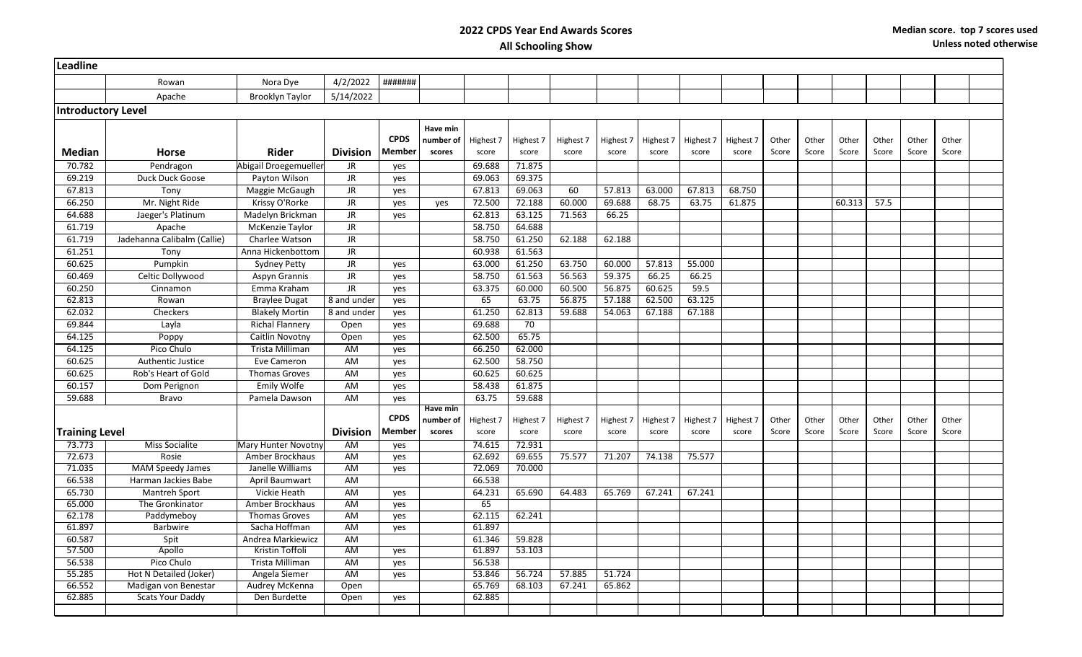## **2022 CPDS Year End Awards Scores All Schooling Show**

| Leadline                  |                                                |                                    |                 |               |           |                  |           |           |           |           |           |           |       |       |        |       |       |       |  |
|---------------------------|------------------------------------------------|------------------------------------|-----------------|---------------|-----------|------------------|-----------|-----------|-----------|-----------|-----------|-----------|-------|-------|--------|-------|-------|-------|--|
|                           | Rowan                                          | Nora Dye                           | 4/2/2022        | #######       |           |                  |           |           |           |           |           |           |       |       |        |       |       |       |  |
|                           | Apache                                         | <b>Brooklyn Taylor</b>             | 5/14/2022       |               |           |                  |           |           |           |           |           |           |       |       |        |       |       |       |  |
| <b>Introductory Level</b> |                                                |                                    |                 |               |           |                  |           |           |           |           |           |           |       |       |        |       |       |       |  |
|                           |                                                |                                    |                 |               | Have min  |                  |           |           |           |           |           |           |       |       |        |       |       |       |  |
|                           |                                                |                                    |                 | <b>CPDS</b>   | number of | Highest 7        | Highest 7 | Highest 7 | Highest 7 | Highest 7 | Highest 7 | Highest 7 | Other | Other | Other  | Other | Other | Other |  |
| <b>Median</b>             | <b>Horse</b>                                   | Rider                              | <b>Division</b> | Member        | scores    | score            | score     | score     | score     | score     | score     | score     | Score | Score | Score  | Score | Score | Score |  |
| 70.782                    | Pendragon                                      | Abigail Droegemueller              | JR.             | yes           |           | 69.688           | 71.875    |           |           |           |           |           |       |       |        |       |       |       |  |
| 69.219                    | Duck Duck Goose                                | Payton Wilson                      | JR.             | yes           |           | 69.063           | 69.375    |           |           |           |           |           |       |       |        |       |       |       |  |
| 67.813                    | Tony                                           | Maggie McGaugh                     | <b>JR</b>       | yes           |           | 67.813           | 69.063    | 60        | 57.813    | 63.000    | 67.813    | 68.750    |       |       |        |       |       |       |  |
| 66.250                    | Mr. Night Ride                                 | Krissy O'Rorke                     | <b>JR</b>       | yes           | yes       | 72.500           | 72.188    | 60.000    | 69.688    | 68.75     | 63.75     | 61.875    |       |       | 60.313 | 57.5  |       |       |  |
| 64.688                    | Jaeger's Platinum                              | Madelyn Brickman                   | <b>JR</b>       | yes           |           | 62.813           | 63.125    | 71.563    | 66.25     |           |           |           |       |       |        |       |       |       |  |
| 61.719                    | Apache                                         | McKenzie Taylor                    | <b>JR</b>       |               |           | 58.750           | 64.688    |           |           |           |           |           |       |       |        |       |       |       |  |
| 61.719                    | Jadehanna Calibalm (Callie)                    | Charlee Watson                     | JR              |               |           | 58.750           | 61.250    | 62.188    | 62.188    |           |           |           |       |       |        |       |       |       |  |
| 61.251                    | Tony                                           | Anna Hickenbottom                  | <b>JR</b>       |               |           | 60.938           | 61.563    |           |           |           |           |           |       |       |        |       |       |       |  |
| 60.625                    | Pumpkin                                        | <b>Sydney Petty</b>                | <b>JR</b>       | yes           |           | 63.000           | 61.250    | 63.750    | 60.000    | 57.813    | 55.000    |           |       |       |        |       |       |       |  |
| 60.469                    | Celtic Dollywood                               | <b>Aspyn Grannis</b>               | JR              | ves           |           | 58.750           | 61.563    | 56.563    | 59.375    | 66.25     | 66.25     |           |       |       |        |       |       |       |  |
| 60.250                    | Cinnamon                                       | Emma Kraham                        | <b>JR</b>       | yes           |           | 63.375           | 60.000    | 60.500    | 56.875    | 60.625    | 59.5      |           |       |       |        |       |       |       |  |
| 62.813                    | Rowan                                          | <b>Braylee Dugat</b>               | 8 and under     | yes           |           | 65               | 63.75     | 56.875    | 57.188    | 62.500    | 63.125    |           |       |       |        |       |       |       |  |
| 62.032                    | Checkers                                       | <b>Blakely Mortin</b>              | 8 and under     | yes           |           | 61.250           | 62.813    | 59.688    | 54.063    | 67.188    | 67.188    |           |       |       |        |       |       |       |  |
| 69.844                    | Layla                                          | <b>Richal Flannery</b>             | Open            | yes           |           | 69.688           | 70        |           |           |           |           |           |       |       |        |       |       |       |  |
| 64.125                    | Poppy                                          | Caitlin Novotny                    | Open            | ves           |           | 62.500           | 65.75     |           |           |           |           |           |       |       |        |       |       |       |  |
| 64.125                    | Pico Chulo                                     | Trista Milliman                    | AM              | yes           |           | 66.250           | 62.000    |           |           |           |           |           |       |       |        |       |       |       |  |
| 60.625                    | Authentic Justice                              | Eve Cameron                        | AM              | yes           |           | 62.500           | 58.750    |           |           |           |           |           |       |       |        |       |       |       |  |
| 60.625                    | Rob's Heart of Gold                            | <b>Thomas Groves</b>               | AM              | yes           |           | 60.625           | 60.625    |           |           |           |           |           |       |       |        |       |       |       |  |
| 60.157                    | Dom Perignon                                   | Emily Wolfe                        | AM              | yes           |           | 58.438           | 61.875    |           |           |           |           |           |       |       |        |       |       |       |  |
| 59.688                    | <b>Bravo</b>                                   | Pamela Dawson                      | <b>AM</b>       | ves           |           | 63.75            | 59.688    |           |           |           |           |           |       |       |        |       |       |       |  |
|                           |                                                |                                    |                 |               | Have min  |                  |           |           |           |           |           |           |       |       |        |       |       |       |  |
|                           |                                                |                                    |                 | <b>CPDS</b>   | number of | Highest 7        | Highest 7 | Highest 7 | Highest 7 | Highest 7 | Highest 7 | Highest 7 | Other | Other | Other  | Other | Other | Other |  |
| <b>Training Level</b>     |                                                |                                    | <b>Division</b> | <b>Member</b> | scores    | score            | score     | score     | score     | score     | score     | score     | Score | Score | Score  | Score | Score | Score |  |
| 73.773                    | <b>Miss Socialite</b>                          | Mary Hunter Novotny                | AM              | ves           |           | 74.615           | 72.931    |           |           |           |           |           |       |       |        |       |       |       |  |
| 72.673                    | Rosie                                          | Amber Brockhaus                    | AM              | yes           |           | 62.692           | 69.655    | 75.577    | 71.207    | 74.138    | 75.577    |           |       |       |        |       |       |       |  |
| 71.035<br>66.538          | <b>MAM Speedy James</b><br>Harman Jackies Babe | Janelle Williams<br>April Baumwart | AM              | yes           |           | 72.069<br>66.538 | 70.000    |           |           |           |           |           |       |       |        |       |       |       |  |
| 65.730                    |                                                |                                    | AM              |               |           |                  |           |           |           |           |           |           |       |       |        |       |       |       |  |
| 65.000                    | <b>Mantreh Sport</b><br>The Gronkinator        | Vickie Heath<br>Amber Brockhaus    | AM<br>AM        | yes<br>yes    |           | 64.231<br>65     | 65.690    | 64.483    | 65.769    | 67.241    | 67.241    |           |       |       |        |       |       |       |  |
| 62.178                    | Paddymeboy                                     | <b>Thomas Groves</b>               | <b>AM</b>       | yes           |           | 62.115           | 62.241    |           |           |           |           |           |       |       |        |       |       |       |  |
| 61.897                    | <b>Barbwire</b>                                | Sacha Hoffman                      | <b>AM</b>       | yes           |           | 61.897           |           |           |           |           |           |           |       |       |        |       |       |       |  |
| 60.587                    | Spit                                           | Andrea Markiewicz                  | <b>AM</b>       |               |           | 61.346           | 59.828    |           |           |           |           |           |       |       |        |       |       |       |  |
| 57.500                    | Apollo                                         | Kristin Toffoli                    | <b>AM</b>       | yes           |           | 61.897           | 53.103    |           |           |           |           |           |       |       |        |       |       |       |  |
| 56.538                    | Pico Chulo                                     | Trista Milliman                    | AM              | yes           |           | 56.538           |           |           |           |           |           |           |       |       |        |       |       |       |  |
| 55.285                    | Hot N Detailed (Joker)                         | Angela Siemer                      | AM              | yes           |           | 53.846           | 56.724    | 57.885    | 51.724    |           |           |           |       |       |        |       |       |       |  |
| 66.552                    | Madigan von Benestar                           | Audrey McKenna                     | Open            |               |           | 65.769           | 68.103    | 67.241    | 65.862    |           |           |           |       |       |        |       |       |       |  |
| 62.885                    | <b>Scats Your Daddy</b>                        | Den Burdette                       | Open            | yes           |           | 62.885           |           |           |           |           |           |           |       |       |        |       |       |       |  |
|                           |                                                |                                    |                 |               |           |                  |           |           |           |           |           |           |       |       |        |       |       |       |  |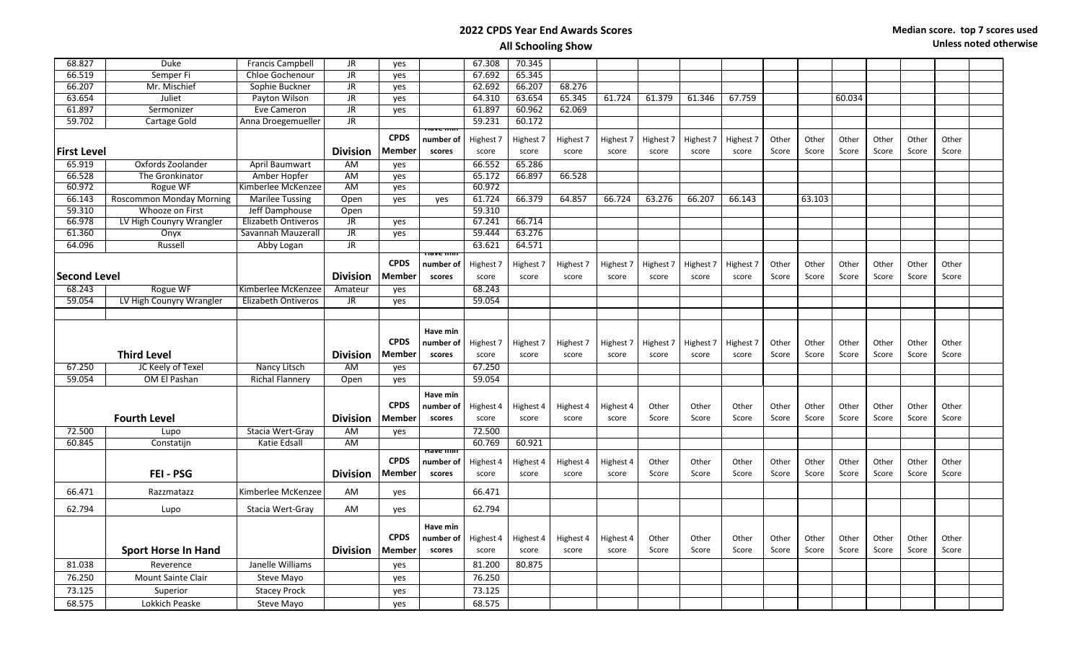## **2022 CPDS Year End Awards Scores**

| 68.827              | <b>Duke</b>                     | Francis Campbell           | JR              | yes           |                     | 67.308    | 70.345    |           |           |           |           |           |       |        |        |       |       |       |  |
|---------------------|---------------------------------|----------------------------|-----------------|---------------|---------------------|-----------|-----------|-----------|-----------|-----------|-----------|-----------|-------|--------|--------|-------|-------|-------|--|
| 66.519              | Semper Fi                       | <b>Chloe Gochenour</b>     | <b>JR</b>       | yes           |                     | 67.692    | 65.345    |           |           |           |           |           |       |        |        |       |       |       |  |
| 66.207              | Mr. Mischief                    | Sophie Buckner             | JR              | yes           |                     | 62.692    | 66.207    | 68.276    |           |           |           |           |       |        |        |       |       |       |  |
| 63.654              | Juliet                          | Payton Wilson              | <b>JR</b>       | yes           |                     | 64.310    | 63.654    | 65.345    | 61.724    | 61.379    | 61.346    | 67.759    |       |        | 60.034 |       |       |       |  |
| 61.897              | Sermonizer                      | Eve Cameron                | JR              | yes           |                     | 61.897    | 60.962    | 62.069    |           |           |           |           |       |        |        |       |       |       |  |
| 59.702              | Cartage Gold                    | Anna Droegemueller         | <b>JR</b>       |               | nav <del>e mm</del> | 59.231    | 60.172    |           |           |           |           |           |       |        |        |       |       |       |  |
|                     |                                 |                            |                 | <b>CPDS</b>   | number of           | Highest 7 | Highest 7 | Highest 7 | Highest 7 | Highest 7 | Highest 7 | Highest 7 | Other | Other  | Other  | Other | Other | Other |  |
| <b>First Level</b>  |                                 |                            | <b>Division</b> | Member        | scores              | score     | score     | score     | score     | score     | score     | score     | Score | Score  | Score  | Score | Score | Score |  |
| 65.919              | Oxfords Zoolander               | April Baumwart             | AM              | yes           |                     | 66.552    | 65.286    |           |           |           |           |           |       |        |        |       |       |       |  |
| 66.528              | The Gronkinator                 | Amber Hopfer               | AM              | yes           |                     | 65.172    | 66.897    | 66.528    |           |           |           |           |       |        |        |       |       |       |  |
| 60.972              | Rogue WF                        | Kimberlee McKenzee         | AM              | yes           |                     | 60.972    |           |           |           |           |           |           |       |        |        |       |       |       |  |
| 66.143              | <b>Roscommon Monday Morning</b> | <b>Marilee Tussing</b>     | Open            | yes           | yes                 | 61.724    | 66.379    | 64.857    | 66.724    | 63.276    | 66.207    | 66.143    |       | 63.103 |        |       |       |       |  |
| 59.310              | Whooze on First                 | Jeff Damphouse             | Open            |               |                     | 59.310    |           |           |           |           |           |           |       |        |        |       |       |       |  |
| 66.978              | LV High Counyry Wrangler        | Elizabeth Ontiveros        | JR              | yes           |                     | 67.241    | 66.714    |           |           |           |           |           |       |        |        |       |       |       |  |
| 61.360              | Onyx                            | Savannah Mauzerall         | JR.             | yes           |                     | 59.444    | 63.276    |           |           |           |           |           |       |        |        |       |       |       |  |
| 64.096              | Russell                         | Abby Logan                 | JR.             |               |                     | 63.621    | 64.571    |           |           |           |           |           |       |        |        |       |       |       |  |
|                     |                                 |                            |                 |               | Have min            |           |           |           |           |           |           |           |       |        |        |       |       |       |  |
|                     |                                 |                            |                 | <b>CPDS</b>   | number of           | Highest 7 | Highest 7 | Highest 7 | Highest 7 | Highest 7 | Highest 7 | Highest 7 | Other | Other  | Other  | Other | Other | Other |  |
| <b>Second Level</b> |                                 |                            | <b>Division</b> | <b>Member</b> | scores              | score     | score     | score     | score     | score     | score     | score     | Score | Score  | Score  | Score | Score | Score |  |
| 68.243              | Rogue WF                        | Kimberlee McKenzee         | Amateur         | yes           |                     | 68.243    |           |           |           |           |           |           |       |        |        |       |       |       |  |
| 59.054              | LV High Counyry Wrangler        | <b>Elizabeth Ontiveros</b> | JR.             | yes           |                     | 59.054    |           |           |           |           |           |           |       |        |        |       |       |       |  |
|                     |                                 |                            |                 |               |                     |           |           |           |           |           |           |           |       |        |        |       |       |       |  |
|                     |                                 |                            |                 |               | Have min            |           |           |           |           |           |           |           |       |        |        |       |       |       |  |
|                     |                                 |                            |                 | <b>CPDS</b>   | number of           | Highest 7 | Highest 7 | Highest 7 | Highest 7 | Highest 7 | Highest 7 | Highest 7 | Other | Other  | Other  | Other | Other | Other |  |
|                     | <b>Third Level</b>              |                            | <b>Division</b> | Member        | scores              | score     | score     | score     | score     | score     | score     | score     | Score | Score  | Score  | Score | Score | Score |  |
| 67.250              | JC Keely of Texel               | Nancy Litsch               | AM              | yes           |                     | 67.250    |           |           |           |           |           |           |       |        |        |       |       |       |  |
| 59.054              | OM El Pashan                    | <b>Richal Flannery</b>     | Open            | yes           |                     | 59.054    |           |           |           |           |           |           |       |        |        |       |       |       |  |
|                     |                                 |                            |                 |               |                     |           |           |           |           |           |           |           |       |        |        |       |       |       |  |
|                     |                                 |                            |                 |               | Have min            |           |           |           |           |           |           |           |       |        |        |       |       |       |  |
|                     |                                 |                            |                 | <b>CPDS</b>   | number of           | Highest 4 | Highest 4 | Highest 4 | Highest 4 | Other     | Other     | Other     | Other | Other  | Other  | Other | Other | Other |  |
|                     | <b>Fourth Level</b>             |                            | <b>Division</b> | Member        | scores              | score     | score     | score     | score     | Score     | Score     | Score     | Score | Score  | Score  | Score | Score | Score |  |
| 72.500              | Lupo                            | Stacia Wert-Gray           | AM              | yes           |                     | 72.500    |           |           |           |           |           |           |       |        |        |       |       |       |  |
| 60.845              | Constatijn                      | Katie Edsall               | <b>AM</b>       |               | nave min            | 60.769    | 60.921    |           |           |           |           |           |       |        |        |       |       |       |  |
|                     |                                 |                            |                 | <b>CPDS</b>   | number of           | Highest 4 | Highest 4 | Highest 4 | Highest 4 | Other     | Other     | Other     | Other | Other  | Other  | Other | Other | Other |  |
|                     | <b>FEI - PSG</b>                |                            | <b>Division</b> | Member        | scores              | score     | score     | score     | score     | Score     | Score     | Score     | Score | Score  | Score  | Score | Score | Score |  |
|                     |                                 |                            |                 |               |                     |           |           |           |           |           |           |           |       |        |        |       |       |       |  |
| 66.471              | Razzmatazz                      | Kimberlee McKenzee         | AM              | yes           |                     | 66.471    |           |           |           |           |           |           |       |        |        |       |       |       |  |
| 62.794              | Lupo                            | Stacia Wert-Gray           | AM              | yes           |                     | 62.794    |           |           |           |           |           |           |       |        |        |       |       |       |  |
|                     |                                 |                            |                 |               | Have min            |           |           |           |           |           |           |           |       |        |        |       |       |       |  |
|                     |                                 |                            |                 | <b>CPDS</b>   | number of           | Highest 4 | Highest 4 | Highest 4 | Highest 4 | Other     | Other     | Other     | Other | Other  | Other  | Other | Other | Other |  |
|                     | <b>Sport Horse In Hand</b>      |                            | <b>Division</b> | <b>Member</b> | scores              | score     | score     | score     | score     | Score     | Score     | Score     | Score | Score  | Score  | Score | Score | Score |  |
| 81.038              | Reverence                       | Janelle Williams           |                 | yes           |                     | 81.200    | 80.875    |           |           |           |           |           |       |        |        |       |       |       |  |
| 76.250              | <b>Mount Sainte Clair</b>       | Steve Mayo                 |                 | yes           |                     | 76.250    |           |           |           |           |           |           |       |        |        |       |       |       |  |
| 73.125              | Superior                        | <b>Stacey Prock</b>        |                 | yes           |                     | 73.125    |           |           |           |           |           |           |       |        |        |       |       |       |  |
| 68.575              | Lokkich Peaske                  | Steve Mayo                 |                 | ves           |                     | 68.575    |           |           |           |           |           |           |       |        |        |       |       |       |  |
|                     |                                 |                            |                 |               |                     |           |           |           |           |           |           |           |       |        |        |       |       |       |  |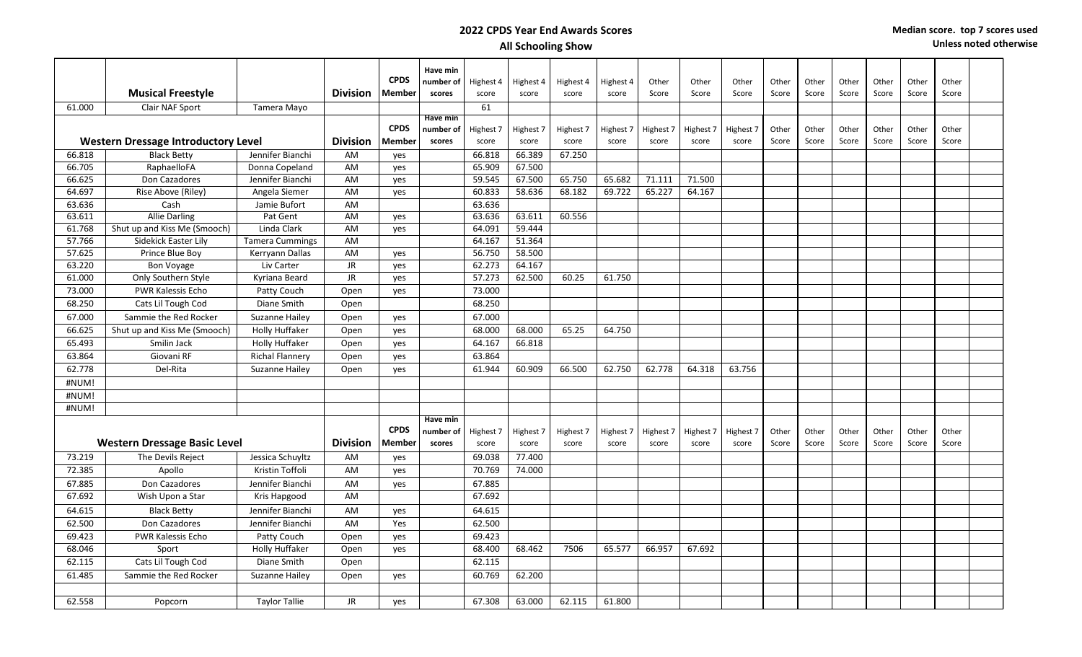## **2022 CPDS Year End Awards Scores All Schooling Show**

|                                                  |                                                               |                        |                 |                              | Have min            |           |           |           |           |           |           |                |       |       |       |       |       |       |  |
|--------------------------------------------------|---------------------------------------------------------------|------------------------|-----------------|------------------------------|---------------------|-----------|-----------|-----------|-----------|-----------|-----------|----------------|-------|-------|-------|-------|-------|-------|--|
|                                                  |                                                               |                        |                 | <b>CPDS</b><br><b>Member</b> | number of<br>scores | Highest 4 | Highest 4 | Highest 4 | Highest 4 | Other     | Other     | Other<br>Score | Other | Other | Other | Other | Other | Other |  |
|                                                  | <b>Musical Freestyle</b>                                      |                        | <b>Division</b> |                              |                     | score     | score     | score     | score     | Score     | Score     |                | Score | Score | Score | Score | Score | Score |  |
| 61.000                                           | Clair NAF Sport                                               | Tamera Mayo            |                 |                              | Have min            | 61        |           |           |           |           |           |                |       |       |       |       |       |       |  |
|                                                  |                                                               |                        |                 | <b>CPDS</b>                  | number of           | Highest 7 | Highest 7 | Highest 7 | Highest 7 | Highest 7 | Highest 7 | Highest 7      | Other | Other | Other | Other | Other | Other |  |
|                                                  | <b>Western Dressage Introductory Level</b><br><b>Division</b> |                        |                 | <b>Member</b>                | scores              | score     | score     | score     | score     | score     | score     | score          | Score | Score | Score | Score | Score | Score |  |
| 66.818<br>Jennifer Bianchi<br><b>Black Betty</b> |                                                               |                        | AM              | yes                          |                     | 66.818    | 66.389    | 67.250    |           |           |           |                |       |       |       |       |       |       |  |
| 66.705                                           | RaphaelloFA                                                   | Donna Copeland         | AM              | yes                          |                     | 65.909    | 67.500    |           |           |           |           |                |       |       |       |       |       |       |  |
| 66.625                                           | Don Cazadores                                                 | Jennifer Bianchi       | AM              | yes                          |                     | 59.545    | 67.500    | 65.750    | 65.682    | 71.111    | 71.500    |                |       |       |       |       |       |       |  |
| 64.697                                           | Rise Above (Riley)                                            | Angela Siemer          | AM              | yes                          |                     | 60.833    | 58.636    | 68.182    | 69.722    | 65.227    | 64.167    |                |       |       |       |       |       |       |  |
| 63.636                                           | Cash                                                          | Jamie Bufort           | AM              |                              |                     | 63.636    |           |           |           |           |           |                |       |       |       |       |       |       |  |
| 63.611                                           | <b>Allie Darling</b>                                          | Pat Gent               | AM              | yes                          |                     | 63.636    | 63.611    | 60.556    |           |           |           |                |       |       |       |       |       |       |  |
| 61.768                                           | Shut up and Kiss Me (Smooch)                                  | Linda Clark            | AM              | yes                          |                     | 64.091    | 59.444    |           |           |           |           |                |       |       |       |       |       |       |  |
| 57.766                                           | Sidekick Easter Lily                                          | <b>Tamera Cummings</b> | AM              |                              |                     | 64.167    | 51.364    |           |           |           |           |                |       |       |       |       |       |       |  |
| 57.625                                           | Prince Blue Boy                                               | Kerryann Dallas        | AM              | yes                          |                     | 56.750    | 58.500    |           |           |           |           |                |       |       |       |       |       |       |  |
| 63.220                                           | Bon Voyage                                                    | Liv Carter             | JR              | yes                          |                     | 62.273    | 64.167    |           |           |           |           |                |       |       |       |       |       |       |  |
| 61.000                                           | Only Southern Style                                           | Kyriana Beard          | <b>JR</b>       | yes                          |                     | 57.273    | 62.500    | 60.25     | 61.750    |           |           |                |       |       |       |       |       |       |  |
| 73.000                                           | PWR Kalessis Echo                                             | Patty Couch            | Open            | yes                          |                     | 73.000    |           |           |           |           |           |                |       |       |       |       |       |       |  |
| 68.250                                           | Cats Lil Tough Cod                                            | Diane Smith            | Open            |                              |                     | 68.250    |           |           |           |           |           |                |       |       |       |       |       |       |  |
| 67.000                                           | Sammie the Red Rocker                                         | Suzanne Hailey         | Open            | yes                          |                     | 67.000    |           |           |           |           |           |                |       |       |       |       |       |       |  |
| 66.625                                           | Shut up and Kiss Me (Smooch)                                  | <b>Holly Huffaker</b>  | Open            | yes                          |                     | 68.000    | 68.000    | 65.25     | 64.750    |           |           |                |       |       |       |       |       |       |  |
| 65.493                                           | Smilin Jack                                                   | <b>Holly Huffaker</b>  | Open            | yes                          |                     | 64.167    | 66.818    |           |           |           |           |                |       |       |       |       |       |       |  |
| 63.864                                           | Giovani RF                                                    | <b>Richal Flannery</b> | Open            | ves                          |                     | 63.864    |           |           |           |           |           |                |       |       |       |       |       |       |  |
| 62.778                                           | Del-Rita                                                      | Suzanne Hailey         | Open            | yes                          |                     | 61.944    | 60.909    | 66.500    | 62.750    | 62.778    | 64.318    | 63.756         |       |       |       |       |       |       |  |
| #NUM!                                            |                                                               |                        |                 |                              |                     |           |           |           |           |           |           |                |       |       |       |       |       |       |  |
| #NUM!                                            |                                                               |                        |                 |                              |                     |           |           |           |           |           |           |                |       |       |       |       |       |       |  |
| #NUM!                                            |                                                               |                        |                 |                              |                     |           |           |           |           |           |           |                |       |       |       |       |       |       |  |
|                                                  |                                                               |                        |                 |                              | Have min            |           |           |           |           |           |           |                |       |       |       |       |       |       |  |
|                                                  |                                                               |                        |                 | <b>CPDS</b>                  | number of           | Highest 7 | Highest 7 | Highest 7 | Highest 7 | Highest 7 | Highest 7 | Highest 7      | Other | Other | Other | Other | Other | Other |  |
|                                                  | <b>Western Dressage Basic Level</b>                           |                        | <b>Division</b> | <b>Member</b>                | scores              | score     | score     | score     | score     | score     | score     | score          | Score | Score | Score | Score | Score | Score |  |
| 73.219                                           | The Devils Reject                                             | Jessica Schuyltz       | AM              | yes                          |                     | 69.038    | 77.400    |           |           |           |           |                |       |       |       |       |       |       |  |
| 72.385                                           | Apollo                                                        | Kristin Toffoli        | AM              | yes                          |                     | 70.769    | 74.000    |           |           |           |           |                |       |       |       |       |       |       |  |
| 67.885                                           | Don Cazadores                                                 | Jennifer Bianchi       | AM              | yes                          |                     | 67.885    |           |           |           |           |           |                |       |       |       |       |       |       |  |
| 67.692                                           | Wish Upon a Star                                              | Kris Hapgood           | AM              |                              |                     | 67.692    |           |           |           |           |           |                |       |       |       |       |       |       |  |
| 64.615                                           | <b>Black Betty</b>                                            | Jennifer Bianchi       | AM              | yes                          |                     | 64.615    |           |           |           |           |           |                |       |       |       |       |       |       |  |
| 62.500                                           | Don Cazadores                                                 | Jennifer Bianchi       | AM              | Yes                          |                     | 62.500    |           |           |           |           |           |                |       |       |       |       |       |       |  |
| 69.423                                           | <b>PWR Kalessis Echo</b>                                      | Patty Couch            | Open            | yes                          |                     | 69.423    |           |           |           |           |           |                |       |       |       |       |       |       |  |
| 68.046                                           | Sport                                                         | <b>Holly Huffaker</b>  | Open            | yes                          |                     | 68.400    | 68.462    | 7506      | 65.577    | 66.957    | 67.692    |                |       |       |       |       |       |       |  |
| 62.115                                           | Cats Lil Tough Cod                                            | Diane Smith            | Open            |                              |                     | 62.115    |           |           |           |           |           |                |       |       |       |       |       |       |  |
| 61.485                                           | Sammie the Red Rocker                                         | <b>Suzanne Hailey</b>  | Open            | yes                          |                     | 60.769    | 62.200    |           |           |           |           |                |       |       |       |       |       |       |  |
|                                                  |                                                               |                        |                 |                              |                     |           |           |           |           |           |           |                |       |       |       |       |       |       |  |
| 62.558                                           | Popcorn                                                       | <b>Taylor Tallie</b>   | JR              | yes                          |                     | 67.308    | 63.000    | 62.115    | 61.800    |           |           |                |       |       |       |       |       |       |  |